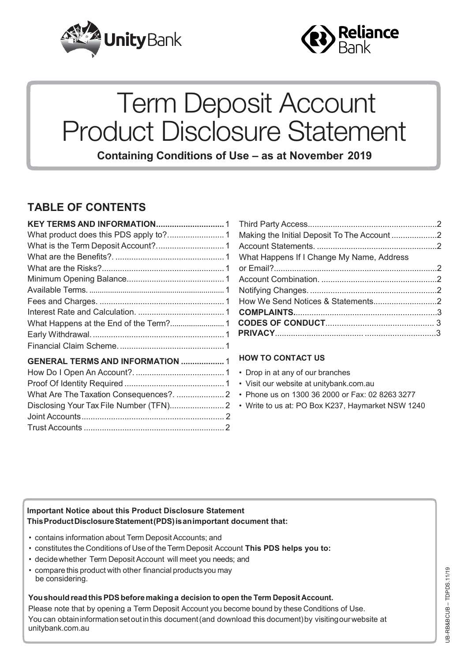



# Term Deposit Account Product Disclosure Statement

**Containing Conditions of Use – as at November 2019**

# **[TABLE OF CONTENTS](#page-1-1)**

| <b>GENERAL TERMS AND INFORMATION  1</b> |  |
|-----------------------------------------|--|
|                                         |  |
|                                         |  |
| What Are The Taxation Consequences?.  2 |  |
|                                         |  |
|                                         |  |
|                                         |  |
|                                         |  |

| What Happens If I Change My Name, Address |  |
|-------------------------------------------|--|
|                                           |  |
|                                           |  |
|                                           |  |
|                                           |  |
|                                           |  |
|                                           |  |
|                                           |  |
|                                           |  |

# **HOW TO CONTAC[T US](http://www.unitybank.com.au/)**

- Drop in at any of our branches
- Visit our website at unitybank.com.au
- Phone us on 1300 36 2000 or Fax: 02 8263 3277
- Write to us at: PO Box K237, Haymarket NSW 1240

# **Important Notice about this Product Disclosure Statement ThisProductDisclosureStatement(PDS)isanimportant document that:**

- contains information about Term Deposit Accounts; and
- constitutes the [Conditions](mailto:mail@unitybank.com.au) of Use of the Term Deposit Account **This PDS helps you to:**
- deci[dewhether](http://www.unitybank.com.au/) Term Deposit Account will meet you needs; and
- compare this product with other financial p[roductsyou](mailto:mail@reliancebank.com.au) may be considering.

#### **YoushouldreadthisPDSbeforemakinga decision to open the Term Deposit Account.**

Please note that by opening a Term Deposit Account you become bound by these Conditions of Use. You can obtain information set out in this document (and d[ownload](mailto:mail@bcub.com.au) this document) by visiting our website at unitybank.com.au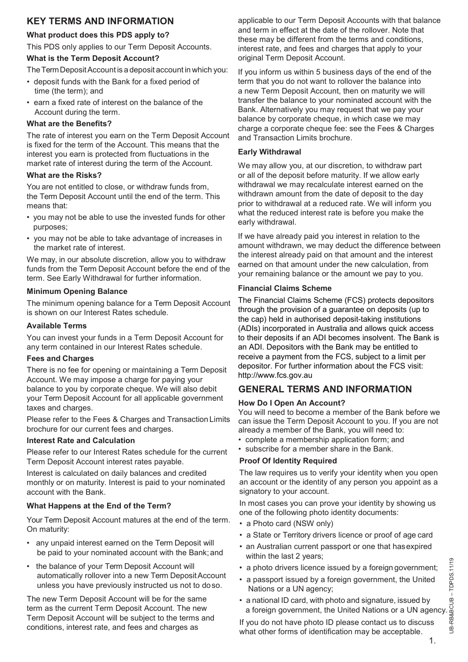# <span id="page-1-0"></span>**KEY TERMS AND INFORMATION**

## <span id="page-1-1"></span>**What product does this PDS apply to?**

This PDS only applies to our Term Deposit Accounts.

#### <span id="page-1-2"></span>**What is the Term Deposit Account?**

The Term Deposit Account is a deposit account in which you:

- deposit funds with the Bank for a fixed period of time (the term); and
- earn a fixed rate of interest on the balance of the Account during the term.

#### <span id="page-1-3"></span>**What are the Benefits?**

The rate of interest you earn on the Term Deposit Account is fixed for the term of the Account. This means that the interest you earn is protected from fluctuations in the market rate of interest during the term of the Account.

#### <span id="page-1-4"></span>**What are the Risks?**

You are not entitled to close, or withdraw funds from, the Term Deposit Account until the end of the term. This means that:

- you may not be able to use the invested funds for other purposes;
- you may not be able to take advantage of increases in the market rate of interest.

We may, in our absolute discretion, allow you to withdraw funds from the Term Deposit Account before the end of the term. See Early Withdrawal for further information.

#### <span id="page-1-5"></span>**Minimum Opening Balance**

The minimum opening balance for a Term Deposit Account is shown on our Interest Rates schedule.

#### <span id="page-1-6"></span>**Available Terms**

You can invest your funds in a Term Deposit Account for any term contained in our Interest Rates schedule.

#### <span id="page-1-7"></span>**Fees and Charges**

There is no fee for opening or maintaining a Term Deposit Account. We may impose a charge for paying your balance to you by corporate cheque. We will also debit your Term Deposit Account for all applicable government taxes and charges.

Please refer to the Fees & Charges and Transaction Limits brochure for our current fees and charges.

#### <span id="page-1-8"></span>**Interest Rate and Calculation**

Please refer to our Interest Rates schedule for the current Term Deposit Account interest rates payable.

Interest is calculated on daily balances and credited monthly or on maturity. Interest is paid to your nominated account with the Bank.

#### <span id="page-1-9"></span>**What Happens at the End of the Term?**

Your Term Deposit Account matures at the end of the term. On maturity:

- any unpaid interest earned on the Term Deposit will be paid to your nominated account with the Bank; and
- the balance of your Term Deposit Account will automatically rollover into a new Term Deposit Account unless you have previously instructed us not to doso.

The new Term Deposit Account will be for the same term as the current Term Deposit Account. The new Term Deposit Account will be subject to the terms and conditions, interest rate, and fees and charges as

applicable to our Term Deposit Accounts with that balance and term in effect at the date of the rollover. Note that these may be different from the terms and conditions, interest rate, and fees and charges that apply to your original Term Deposit Account.

If you inform us within 5 business days of the end of the term that you do not want to rollover the balance into a new Term Deposit Account, then on maturity we will transfer the balance to your nominated account with the Bank. Alternatively you may request that we pay your balance by corporate cheque, in which case we may charge a corporate cheque fee: see the Fees & Charges and Transaction Limits brochure.

#### **Early Withdrawal**

<span id="page-1-10"></span>We may allow you, at our discretion, to withdraw part or all of the deposit before maturity. If we allow early withdrawal we may recalculate interest earned on the withdrawn amount from the date of deposit to the day prior to withdrawal at a reduced rate. We will inform you what the reduced interest rate is before you make the early withdrawal.

If we have already paid you interest in relation to the amount withdrawn, we may deduct the difference between the interest already paid on that amount and the interest earned on that amount under the new calculation, from your remaining balance or the amount we pay to you.

#### **Financial Claims Scheme**

The Financial Claims Scheme (FCS) protects depositors through the provision of a guarantee on deposits (up to the cap) held in authorised deposit-taking institutions (ADIs) incorporated in Australia and allows quick access to their deposits if an ADI becomes insolvent. The Bank is an ADI. Depositors with the Bank may be entitled to receiv[e a payment from the FCS,](http://www.apra.gov.au/) subject to a limit per depositor. For further information about the FCS visit: http://www.fcs.gov.au

# <span id="page-1-12"></span><span id="page-1-11"></span>**GENERAL TERMS AND INFORMATION**

#### **How Do I Open An Account?**

You will need to become a member of the Bank before we can issue the Term Deposit Account to you. If you are not already a member of the Bank, you will need to:

- complete a membership application form; and
- <span id="page-1-13"></span>• subscribe for a member share in the Bank.

#### **Proof Of Identity Required**

The law requires us to verify your identity when you open an account or the identity of any person you appoint as a signatory to your account.

In most cases you can prove your identity by showing us one of the following photo identity documents:

- a Photo card (NSW only)
- a State or Territory drivers licence or proof of age card
- an Australian current passport or one that has expired within the last 2 years;
- a photo drivers licence issued by a foreign government;
- a passport issued by a foreign government, the United Nations or a UN agency;
- a national ID card, with photo and signature, issued by a photo drivers licence issued by a foreign government;<br>a passport issued by a foreign government, the United<br>Nations or a UN agency;<br>a national ID card, with photo and signature, issued by<br>a foreign government, the United

If you do not have photo ID please contact us to discuss what other forms of identification may be acceptable.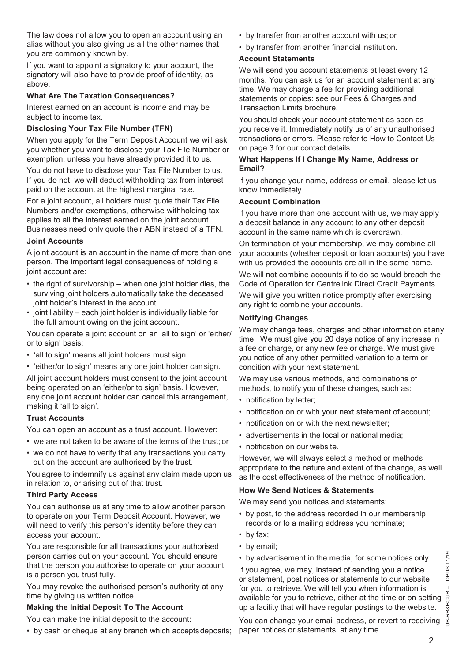The law does not allow you to open an account using an alias without you also giving us all the other names that you are commonly known by.

If you want to appoint a signatory to your account, the signatory will also have to provide proof of identity, as above.

#### <span id="page-2-0"></span>**What Are The Taxation Consequences?**

Interest earned on an account is income and may be subject to income tax.

## <span id="page-2-1"></span>**Disclosing Your Tax File Number (TFN)**

When you apply for the Term Deposit Account we will ask you whether you want to disclose your Tax File Number or exemption, unless you have already provided it to us.

You do not have to disclose your Tax File Number to us. If you do not, we will deduct withholding tax from interest paid on the account at the highest marginal rate.

For a joint account, all holders must quote their Tax File Numbers and/or exemptions, otherwise withholding tax applies to all the interest earned on the joint account. Businesses need only quote their ABN instead of a TFN.

#### <span id="page-2-2"></span>**Joint Accounts**

A joint account is an account in the name of more than one person. The important legal consequences of holding a joint account are:

- the right of survivorship when one joint holder dies, the surviving joint holders automatically take the deceased joint holder's interest in the account.
- joint liability each joint holder is individually liable for the full amount owing on the joint account.

You can operate a joint account on an 'all to sign' or 'either/ or to sign' basis:

- 'all to sign' means all joint holders must sign.
- 'either/or to sign' means any one joint holder can sign.

All joint account holders must consent to the joint account being operated on an 'either/or to sign' basis. However, any one joint account holder can cancel this arrangement, making it 'all to sign'.

# <span id="page-2-3"></span>**Trust Accounts**

You can open an account as a trust account. However:

- we are not taken to be aware of the terms of the trust; or
- we do not have to verify that any transactions you carry out on the account are authorised by the trust.

You agree to indemnify us against any claim made upon us in relation to, or arising out of that trust.

# <span id="page-2-4"></span>**Third Party Access**

You can authorise us at any time to allow another person to operate on your Term Deposit Account. However, we will need to verify this person's identity before they can access your account.

You are responsible for all transactions your authorised person carries out on your account. You should ensure that the person you authorise to operate on your account is a person you trust fully.

You may revoke the authorised person's authority at any time by giving us written notice.

# **Making the Initial Deposit To The Account**

You can make the initial deposit to the account:

• by cash or cheque at any branch which acceptsdeposits;

- by transfer from another account with us; or
- by transfer from another financial institution.

# **Account Statements**

We will send you account statements at least every 12 months. You can ask us for an account statement at any time. We may charge a fee for providing additional statements or copies: see our Fees & Charges and Transaction Limits brochure.

You should check your account statement as soon as you receive it. Immediately notify us of any unauthorised transactions or errors. Please refer to How to Contact Us on page 3 for our contact details.

# **What Happens If I Change My Name, Address or Email?**

If you change your name, address or email, please let us know immediately.

# <span id="page-2-5"></span>**Account Combination**

If you have more than one account with us, we may apply a deposit balance in any account to any other deposit account in the same name which is overdrawn.

On termination of your membership, we may combine all your accounts (whether deposit or loan accounts) you have with us provided the accounts are all in the same name.

We will not combine accounts if to do so would breach the Code of Operation for Centrelink Direct Credit Payments.

We will give you written notice promptly after exercising any right to combine your accounts.

#### <span id="page-2-6"></span>**Notifying Changes**

We may change fees, charges and other information atany time. We must give you 20 days notice of any increase in a fee or charge, or any new fee or charge. We must give you notice of any other permitted variation to a term or condition with your next statement.

We may use various methods, and combinations of methods, to notify you of these changes, such as:

- notification by letter;
- notification on or with your next statement of account;
- notification on or with the next newsletter;
- advertisements in the local or national media;
- notification on our website.

However, we will always select a method or methods appropriate to the nature and extent of the change, as well as the cost effectiveness of the method of notification.

# <span id="page-2-7"></span>**How We Send Notices & Statements**

We may send you notices and statements:

- by post, to the address recorded in our membership records or to a mailing address you nominate;
- by fax;
- by email;
- by advertisement in the media, for some notices only.

If you agree, we may, instead of sending you a notice or statement, post notices or statements to our website for you to retrieve. We will tell you when information is available for you to retrieve, either at the time or on setting up a facility that will have regular postings to the website.

You can change your email address, or revert to receiving paper notices or statements, at any time.